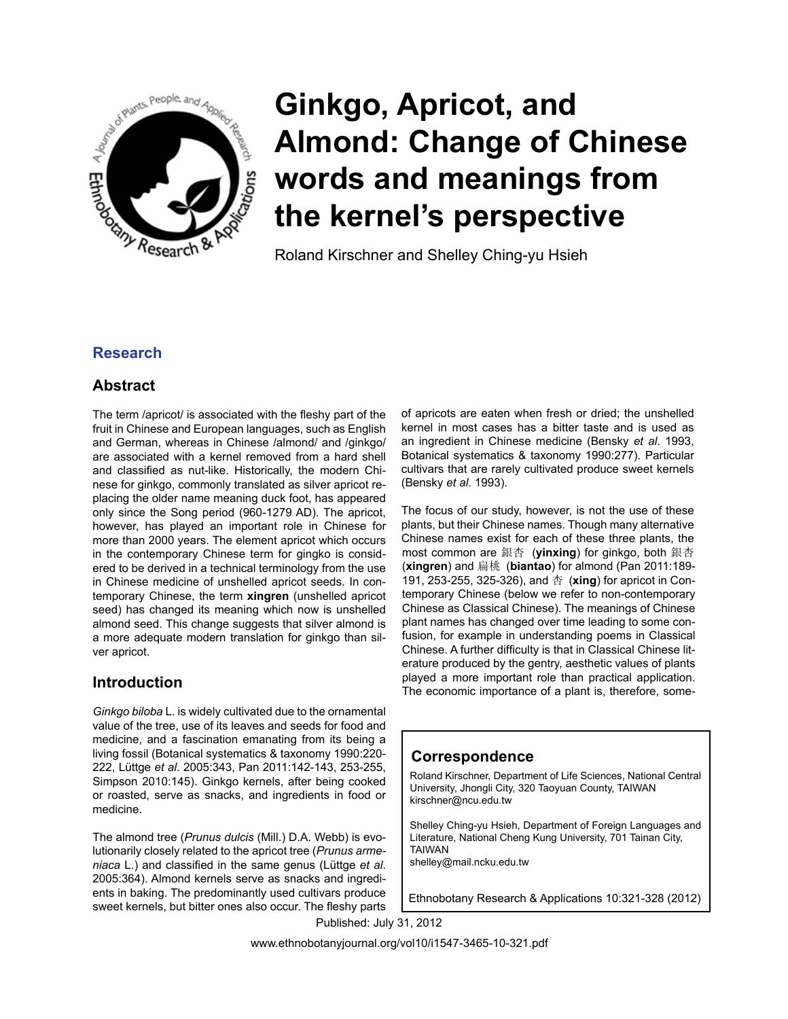

# **Ginkgo, Apricot, and Almond: Change of Chinese words and meanings from the kernel's perspective**

Roland Kirschner and Shelley Ching-yu Hsieh

# **Research**

# **Abstract**

The term /apricot/ is associated with the fleshy part of the fruit in Chinese and European languages, such as English and German, whereas in Chinese /almond/ and /ginkgo/ are associated with a kernel removed from a hard shell and classified as nut-like. Historically, the modern Chinese for ginkgo, commonly translated as silver apricot replacing the older name meaning duck foot, has appeared only since the Song period (960-1279 AD). The apricot, however, has played an important role in Chinese for more than 2000 years. The element apricot which occurs in the contemporary Chinese term for gingko is considered to be derived in a technical terminology from the use in Chinese medicine of unshelled apricot seeds. In contemporary Chinese, the term **xingren** (unshelled apricot seed) has changed its meaning which now is unshelled almond seed. This change suggests that silver almond is a more adequate modern translation for ginkgo than silver apricot.

# **Introduction**

*Ginkgo biloba* L. is widely cultivated due to the ornamental value of the tree, use of its leaves and seeds for food and medicine, and a fascination emanating from its being a living fossil (Botanical systematics & taxonomy 1990:220- 222, Lüttge *et al*. 2005:343, Pan 2011:142-143, 253-255, Simpson 2010:145). Ginkgo kernels, after being cooked or roasted, serve as snacks, and ingredients in food or medicine.

The almond tree (*Prunus dulcis* (Mill.) D.A. Webb) is evolutionarily closely related to the apricot tree (*Prunus armeniaca* L.) and classified in the same genus (Lüttge *et al*. 2005:364). Almond kernels serve as snacks and ingredients in baking. The predominantly used cultivars produce sweet kernels, but bitter ones also occur. The fleshy parts of apricots are eaten when fresh or dried; the unshelled kernel in most cases has a bitter taste and is used as an ingredient in Chinese medicine (Bensky *et al*. 1993, Botanical systematics & taxonomy 1990:277). Particular cultivars that are rarely cultivated produce sweet kernels (Bensky *et al*. 1993).

The focus of our study, however, is not the use of these plants, but their Chinese names. Though many alternative Chinese names exist for each of these three plants, the most common are 銀杏 (**yinxing**) for ginkgo, both 銀杏 (**xingren**) and 扁桃 (**biantao**) for almond (Pan 2011:189- 191, 253-255, 325-326), and 杏 (**xing**) for apricot in Contemporary Chinese (below we refer to non-contemporary Chinese as Classical Chinese). The meanings of Chinese plant names has changed over time leading to some confusion, for example in understanding poems in Classical Chinese. A further difficulty is that in Classical Chinese literature produced by the gentry, aesthetic values of plants played a more important role than practical application. The economic importance of a plant is, therefore, some-

# **Correspondence**

Roland Kirschner, Department of Life Sciences, National Central University, Jhongli City, 320 Taoyuan County, TAIWAN kirschner@ncu.edu.tw

Shelley Ching-yu Hsieh, Department of Foreign Languages and Literature, National Cheng Kung University, 701 Tainan City, TAIWAN shelley@mail.ncku.edu.tw

Ethnobotany Research & Applications 10:321-328 (2012)

Published: July 31, 2012

www.ethnobotanyjournal.org/vol10/i1547-3465-10-321.pdf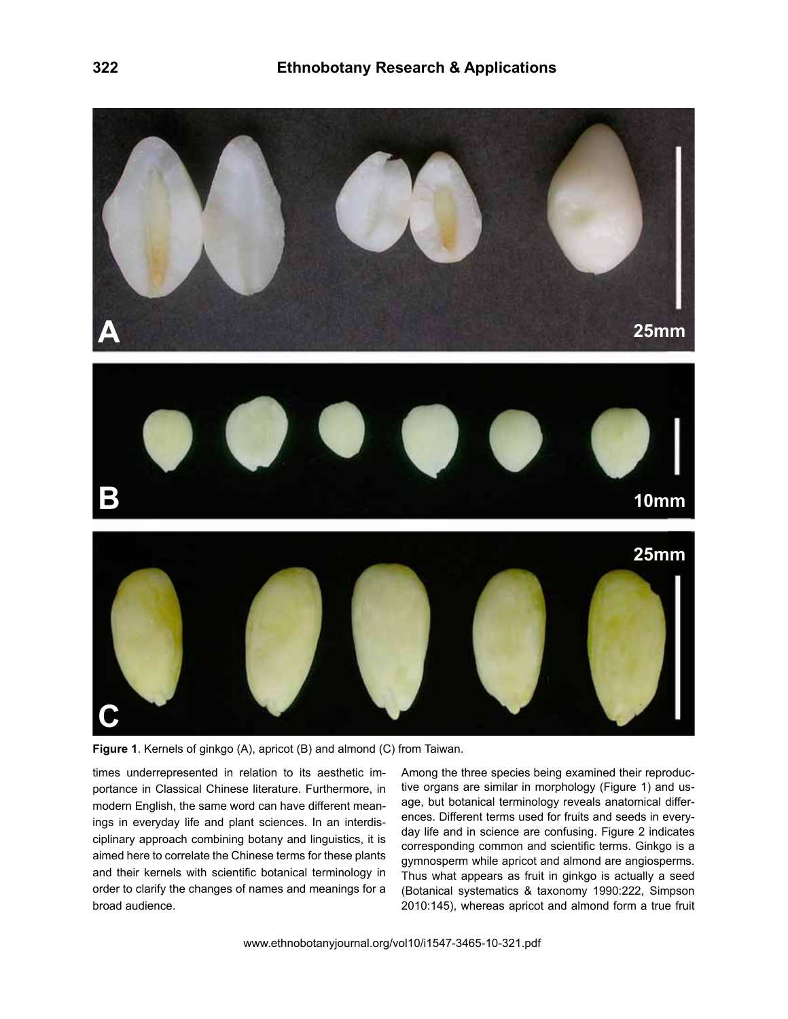

**Figure 1**. Kernels of ginkgo (A), apricot (B) and almond (C) from Taiwan.

times underrepresented in relation to its aesthetic importance in Classical Chinese literature. Furthermore, in modern English, the same word can have different meanings in everyday life and plant sciences. In an interdisciplinary approach combining botany and linguistics, it is aimed here to correlate the Chinese terms for these plants and their kernels with scientific botanical terminology in order to clarify the changes of names and meanings for a broad audience.

Among the three species being examined their reproductive organs are similar in morphology (Figure 1) and usage, but botanical terminology reveals anatomical differences. Different terms used for fruits and seeds in everyday life and in science are confusing. Figure 2 indicates corresponding common and scientific terms. Ginkgo is a gymnosperm while apricot and almond are angiosperms. Thus what appears as fruit in ginkgo is actually a seed (Botanical systematics & taxonomy 1990:222, Simpson 2010:145), whereas apricot and almond form a true fruit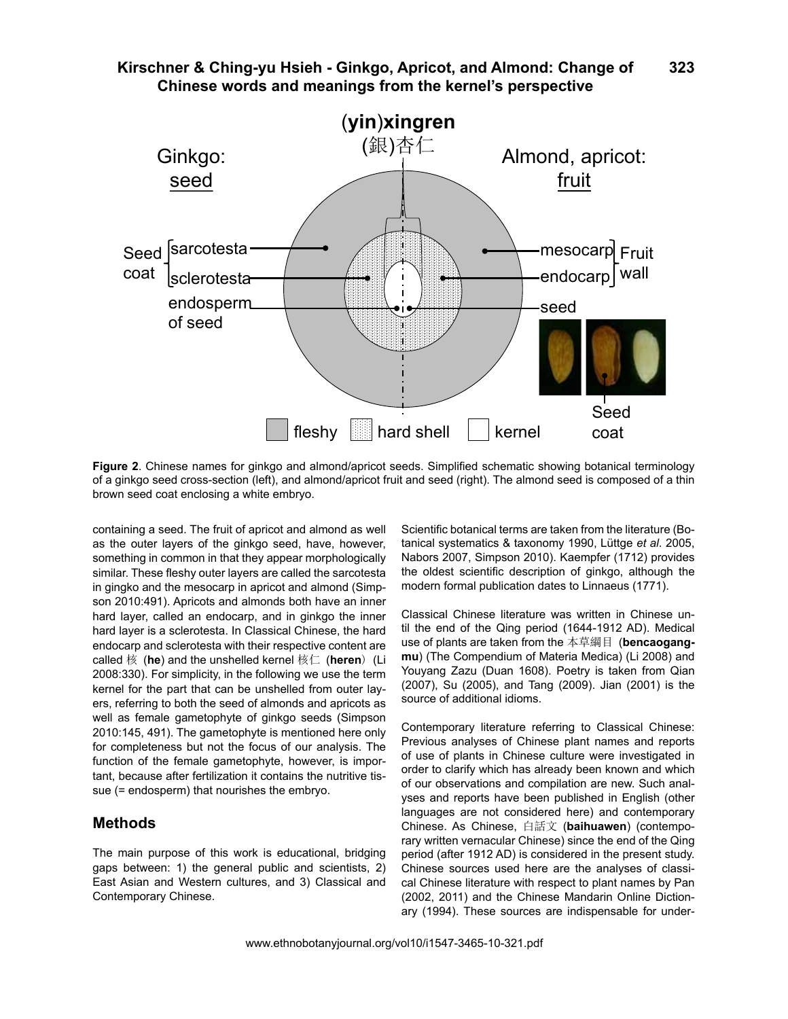

**Figure 2**. Chinese names for ginkgo and almond/apricot seeds. Simplified schematic showing botanical terminology of a ginkgo seed cross-section (left), and almond/apricot fruit and seed (right). The almond seed is composed of a thin brown seed coat enclosing a white embryo.

containing a seed. The fruit of apricot and almond as well as the outer layers of the ginkgo seed, have, however, something in common in that they appear morphologically similar. These fleshy outer layers are called the sarcotesta in gingko and the mesocarp in apricot and almond (Simpson 2010:491). Apricots and almonds both have an inner hard layer, called an endocarp, and in ginkgo the inner hard layer is a sclerotesta. In Classical Chinese, the hard endocarp and sclerotesta with their respective content are called 核 (**he**) and the unshelled kernel 核仁 (**heren**) (Li 2008:330). For simplicity, in the following we use the term kernel for the part that can be unshelled from outer layers, referring to both the seed of almonds and apricots as well as female gametophyte of ginkgo seeds (Simpson 2010:145, 491). The gametophyte is mentioned here only for completeness but not the focus of our analysis. The function of the female gametophyte, however, is important, because after fertilization it contains the nutritive tissue (= endosperm) that nourishes the embryo.

## **Methods**

The main purpose of this work is educational, bridging gaps between: 1) the general public and scientists, 2) East Asian and Western cultures, and 3) Classical and Contemporary Chinese.

Scientific botanical terms are taken from the literature (Botanical systematics & taxonomy 1990, Lüttge *et al*. 2005, Nabors 2007, Simpson 2010). Kaempfer (1712) provides the oldest scientific description of ginkgo, although the modern formal publication dates to Linnaeus (1771).

Classical Chinese literature was written in Chinese until the end of the Qing period (1644-1912 AD). Medical use of plants are taken from the 本草綱目 (**bencaogangmu**) (The Compendium of Materia Medica) (Li 2008) and Youyang Zazu (Duan 1608). Poetry is taken from Qian (2007), Su (2005), and Tang (2009). Jian (2001) is the source of additional idioms.

Contemporary literature referring to Classical Chinese: Previous analyses of Chinese plant names and reports of use of plants in Chinese culture were investigated in order to clarify which has already been known and which of our observations and compilation are new. Such analyses and reports have been published in English (other languages are not considered here) and contemporary Chinese. As Chinese, 白話文 (**baihuawen**) (contemporary written vernacular Chinese) since the end of the Qing period (after 1912 AD) is considered in the present study. Chinese sources used here are the analyses of classical Chinese literature with respect to plant names by Pan (2002, 2011) and the Chinese Mandarin Online Dictionary (1994). These sources are indispensable for under-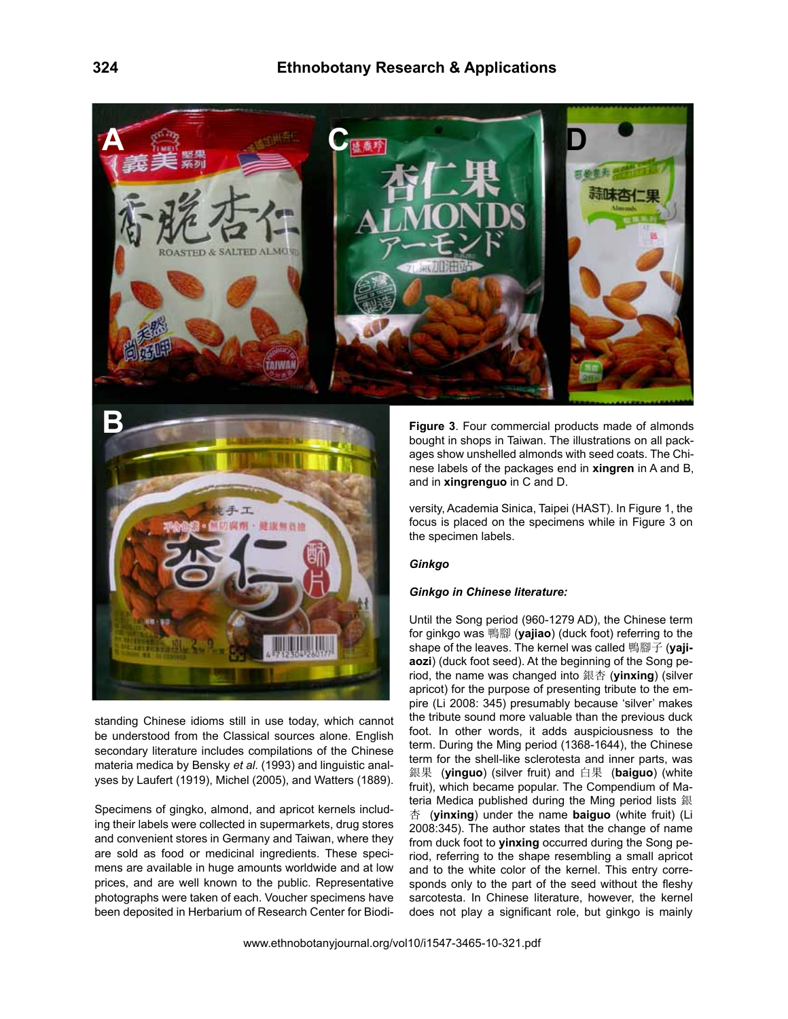



standing Chinese idioms still in use today, which cannot be understood from the Classical sources alone. English secondary literature includes compilations of the Chinese materia medica by Bensky *et al*. (1993) and linguistic analyses by Laufert (1919), Michel (2005), and Watters (1889).

Specimens of gingko, almond, and apricot kernels including their labels were collected in supermarkets, drug stores and convenient stores in Germany and Taiwan, where they are sold as food or medicinal ingredients. These specimens are available in huge amounts worldwide and at low prices, and are well known to the public. Representative photographs were taken of each. Voucher specimens have been deposited in Herbarium of Research Center for Biodi**Figure 3**. Four commercial products made of almonds bought in shops in Taiwan. The illustrations on all packages show unshelled almonds with seed coats. The Chinese labels of the packages end in **xingren** in A and B, and in **xingrenguo** in C and D.

versity, Academia Sinica, Taipei (HAST). In Figure 1, the focus is placed on the specimens while in Figure 3 on the specimen labels.

#### *Ginkgo*

#### *Ginkgo in Chinese literature:*

Until the Song period (960-1279 AD), the Chinese term for ginkgo was 鴨腳 (**yajiao**) (duck foot) referring to the shape of the leaves. The kernel was called 鴨腳子 (**yajiaozi**) (duck foot seed). At the beginning of the Song period, the name was changed into 銀杏 (**yinxing**) (silver apricot) for the purpose of presenting tribute to the empire (Li 2008: 345) presumably because 'silver' makes the tribute sound more valuable than the previous duck foot. In other words, it adds auspiciousness to the term. During the Ming period (1368-1644), the Chinese term for the shell-like sclerotesta and inner parts, was 銀果 (**yinguo**) (silver fruit) and 白果 (**baiguo**) (white fruit), which became popular. The Compendium of Materia Medica published during the Ming period lists 銀 杏 (**yinxing**) under the name **baiguo** (white fruit) (Li 2008:345). The author states that the change of name from duck foot to **yinxing** occurred during the Song period, referring to the shape resembling a small apricot and to the white color of the kernel. This entry corresponds only to the part of the seed without the fleshy sarcotesta. In Chinese literature, however, the kernel does not play a significant role, but ginkgo is mainly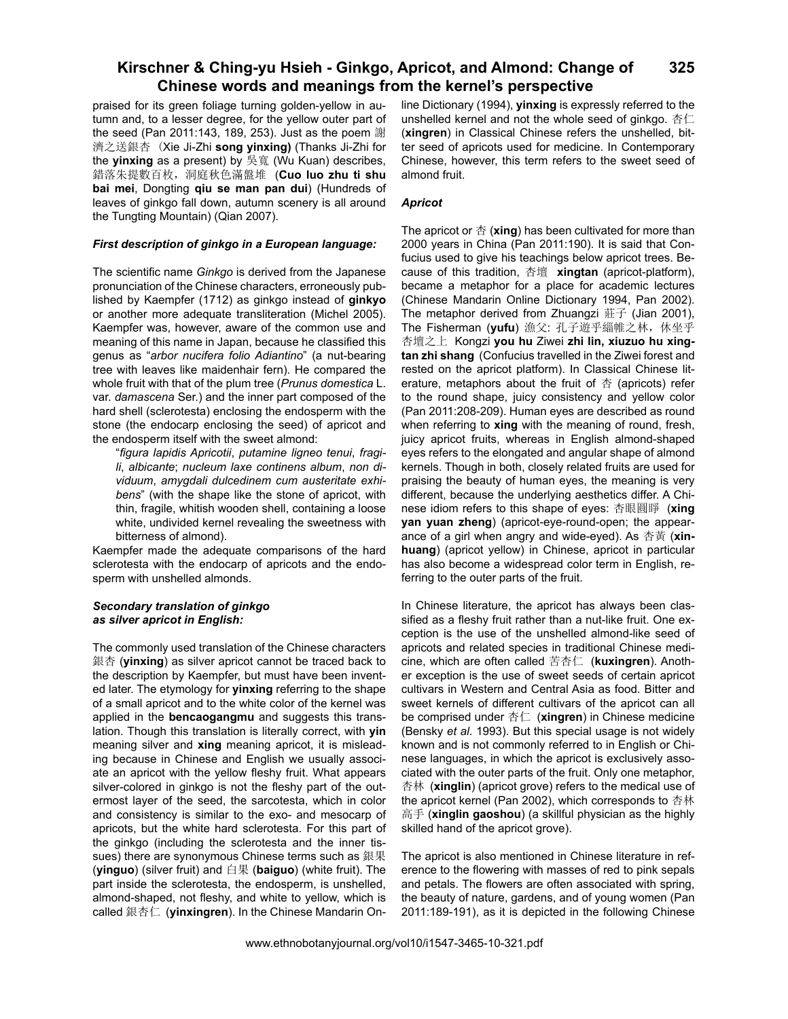#### **Kirschner & Ching-yu Hsieh - Ginkgo, Apricot, and Almond: Change of Chinese words and meanings from the kernel's perspective 325**

praised for its green foliage turning golden-yellow in autumn and, to a lesser degree, for the yellow outer part of the seed (Pan 2011:143, 189, 253). Just as the poem 謝 濟之送銀杏 (Xie Ji-Zhi **song yinxing)** (Thanks Ji-Zhi for the **yinxing** as a present) by 吳寬 (Wu Kuan) describes, 錯落朱提數百枚,洞庭秋色滿盤堆 (**Cuo luo zhu ti shu bai mei**, Dongting **qiu se man pan dui**) (Hundreds of leaves of ginkgo fall down, autumn scenery is all around the Tungting Mountain) (Qian 2007).

#### *First description of ginkgo in a European language:*

The scientific name *Ginkgo* is derived from the Japanese pronunciation of the Chinese characters, erroneously published by Kaempfer (1712) as ginkgo instead of **ginkyo** or another more adequate transliteration (Michel 2005). Kaempfer was, however, aware of the common use and meaning of this name in Japan, because he classified this genus as "*arbor nucifera folio Adiantino*" (a nut-bearing tree with leaves like maidenhair fern). He compared the whole fruit with that of the plum tree (*Prunus domestica* L. var. *damascena* Ser.) and the inner part composed of the hard shell (sclerotesta) enclosing the endosperm with the stone (the endocarp enclosing the seed) of apricot and the endosperm itself with the sweet almond:

"*figura lapidis Apricotii*, *putamine ligneo tenui*, *fragili*, *albicante*; *nucleum laxe continens album*, *non dividuum*, *amygdali dulcedinem cum austeritate exhibens*" (with the shape like the stone of apricot, with thin, fragile, whitish wooden shell, containing a loose white, undivided kernel revealing the sweetness with bitterness of almond).

Kaempfer made the adequate comparisons of the hard sclerotesta with the endocarp of apricots and the endosperm with unshelled almonds.

#### *Secondary translation of ginkgo as silver apricot in English:*

The commonly used translation of the Chinese characters 銀杏 (**yinxing**) as silver apricot cannot be traced back to the description by Kaempfer, but must have been invented later. The etymology for **yinxing** referring to the shape of a small apricot and to the white color of the kernel was applied in the **bencaogangmu** and suggests this translation. Though this translation is literally correct, with **yin** meaning silver and **xing** meaning apricot, it is misleading because in Chinese and English we usually associate an apricot with the yellow fleshy fruit. What appears silver-colored in ginkgo is not the fleshy part of the outermost layer of the seed, the sarcotesta, which in color and consistency is similar to the exo- and mesocarp of apricots, but the white hard sclerotesta. For this part of the ginkgo (including the sclerotesta and the inner tissues) there are synonymous Chinese terms such as 銀果 (**yinguo**) (silver fruit) and 白果 (**baiguo**) (white fruit). The part inside the sclerotesta, the endosperm, is unshelled, almond-shaped, not fleshy, and white to yellow, which is called 銀杏仁 (**yinxingren**). In the Chinese Mandarin Online Dictionary (1994), **yinxing** is expressly referred to the unshelled kernel and not the whole seed of ginkgo. 杏仁 (**xingren**) in Classical Chinese refers the unshelled, bitter seed of apricots used for medicine. In Contemporary Chinese, however, this term refers to the sweet seed of almond fruit.

#### *Apricot*

The apricot or 杏 (**xing**) has been cultivated for more than 2000 years in China (Pan 2011:190). It is said that Confucius used to give his teachings below apricot trees. Because of this tradition, 杏壇 **xingtan** (apricot-platform), became a metaphor for a place for academic lectures (Chinese Mandarin Online Dictionary 1994, Pan 2002). The metaphor derived from Zhuangzi 莊子 (Jian 2001), The Fisherman (**yufu**) 漁父: 孔子遊乎緇帷之林,休坐乎 杏壇之上 Kongzi **you hu** Ziwei **zhi lin, xiuzuo hu xingtan zhi shang** (Confucius travelled in the Ziwei forest and rested on the apricot platform). In Classical Chinese literature, metaphors about the fruit of  $\ddot{\text{a}}$  (apricots) refer to the round shape, juicy consistency and yellow color (Pan 2011:208-209). Human eyes are described as round when referring to **xing** with the meaning of round, fresh, juicy apricot fruits, whereas in English almond-shaped eyes refers to the elongated and angular shape of almond kernels. Though in both, closely related fruits are used for praising the beauty of human eyes, the meaning is very different, because the underlying aesthetics differ. A Chinese idiom refers to this shape of eyes: 杏眼圓睜 (**xing yan yuan zheng**) (apricot-eye-round-open; the appearance of a girl when angry and wide-eyed). As 杏黃 (**xinhuang**) (apricot yellow) in Chinese, apricot in particular has also become a widespread color term in English, referring to the outer parts of the fruit.

In Chinese literature, the apricot has always been classified as a fleshy fruit rather than a nut-like fruit. One exception is the use of the unshelled almond-like seed of apricots and related species in traditional Chinese medicine, which are often called 苦杏仁 (**kuxingren**). Another exception is the use of sweet seeds of certain apricot cultivars in Western and Central Asia as food. Bitter and sweet kernels of different cultivars of the apricot can all be comprised under 杏仁 (**xingren**) in Chinese medicine (Bensky *et al*. 1993). But this special usage is not widely known and is not commonly referred to in English or Chinese languages, in which the apricot is exclusively associated with the outer parts of the fruit. Only one metaphor, 杏林 (**xinglin**) (apricot grove) refers to the medical use of the apricot kernel (Pan 2002), which corresponds to 杏林 高手 (**xinglin gaoshou**) (a skillful physician as the highly skilled hand of the apricot grove).

The apricot is also mentioned in Chinese literature in reference to the flowering with masses of red to pink sepals and petals. The flowers are often associated with spring, the beauty of nature, gardens, and of young women (Pan 2011:189-191), as it is depicted in the following Chinese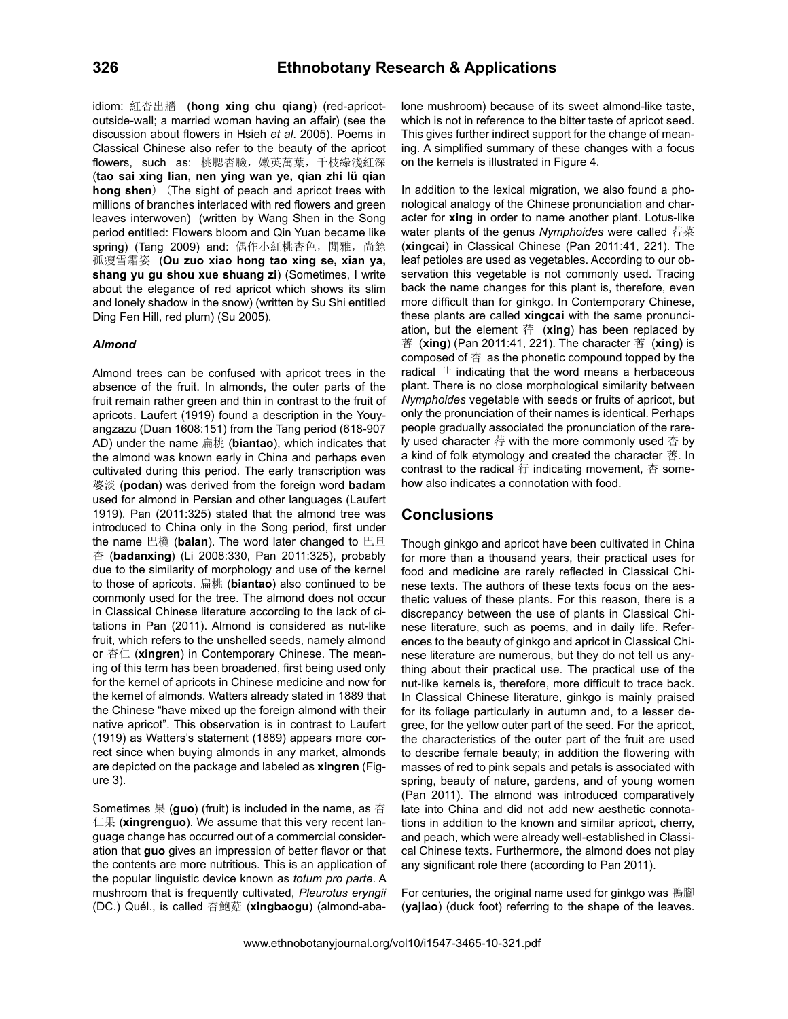idiom: 紅杏出牆 (**hong xing chu qiang**) (red-apricotoutside-wall; a married woman having an affair) (see the discussion about flowers in Hsieh *et al*. 2005). Poems in Classical Chinese also refer to the beauty of the apricot flowers, such as: 桃腮杏臉, 嫩英萬葉, 千枝綠淺紅深 (**tao sai xing lian, nen ying wan ye, qian zhi lü qian hong shen**) (The sight of peach and apricot trees with millions of branches interlaced with red flowers and green leaves interwoven) (written by Wang Shen in the Song period entitled: Flowers bloom and Qin Yuan became like spring) (Tang 2009) and: 偶作小紅桃杏色, 閒雅, 尚餘 孤瘦雪霜姿 (**Ou zuo xiao hong tao xing se, xian ya, shang yu gu shou xue shuang zi**) (Sometimes, I write about the elegance of red apricot which shows its slim and lonely shadow in the snow) (written by Su Shi entitled Ding Fen Hill, red plum) (Su 2005).

#### *Almond*

Almond trees can be confused with apricot trees in the absence of the fruit. In almonds, the outer parts of the fruit remain rather green and thin in contrast to the fruit of apricots. Laufert (1919) found a description in the Youyangzazu (Duan 1608:151) from the Tang period (618-907 AD) under the name 扁桃 (**biantao**), which indicates that the almond was known early in China and perhaps even cultivated during this period. The early transcription was 婆淡 (**podan**) was derived from the foreign word **badam** used for almond in Persian and other languages (Laufert 1919). Pan (2011:325) stated that the almond tree was introduced to China only in the Song period, first under the name 巴欖 (**balan**). The word later changed to 巴旦 杏 (**badanxing**) (Li 2008:330, Pan 2011:325), probably due to the similarity of morphology and use of the kernel to those of apricots. 扁桃 (**biantao**) also continued to be commonly used for the tree. The almond does not occur in Classical Chinese literature according to the lack of citations in Pan (2011). Almond is considered as nut-like fruit, which refers to the unshelled seeds, namely almond or 杏仁 (**xingren**) in Contemporary Chinese. The meaning of this term has been broadened, first being used only for the kernel of apricots in Chinese medicine and now for the kernel of almonds. Watters already stated in 1889 that the Chinese "have mixed up the foreign almond with their native apricot". This observation is in contrast to Laufert (1919) as Watters's statement (1889) appears more correct since when buying almonds in any market, almonds are depicted on the package and labeled as **xingren** (Figure 3).

Sometimes 果 (**guo**) (fruit) is included in the name, as 杏 仁果 (**xingrenguo**). We assume that this very recent language change has occurred out of a commercial consideration that **guo** gives an impression of better flavor or that the contents are more nutritious. This is an application of the popular linguistic device known as *totum pro parte*. A mushroom that is frequently cultivated, *Pleurotus eryngii*  (DC.) Quél., is called 杏鮑菇 (**xingbaogu**) (almond-abalone mushroom) because of its sweet almond-like taste, which is not in reference to the bitter taste of apricot seed. This gives further indirect support for the change of meaning. A simplified summary of these changes with a focus on the kernels is illustrated in Figure 4.

In addition to the lexical migration, we also found a phonological analogy of the Chinese pronunciation and character for **xing** in order to name another plant. Lotus-like water plants of the genus *Nymphoides* were called 荇菜 (**xingcai**) in Classical Chinese (Pan 2011:41, 221). The leaf petioles are used as vegetables. According to our observation this vegetable is not commonly used. Tracing back the name changes for this plant is, therefore, even more difficult than for ginkgo. In Contemporary Chinese, these plants are called **xingcai** with the same pronunciation, but the element 荇 (**xing**) has been replaced by 莕 (**xing**) (Pan 2011:41, 221). The character 莕 (**xing)** is composed of  $\ddot{\text{A}}$  as the phonetic compound topped by the radical  $#$  indicating that the word means a herbaceous plant. There is no close morphological similarity between *Nymphoides* vegetable with seeds or fruits of apricot, but only the pronunciation of their names is identical. Perhaps people gradually associated the pronunciation of the rarely used character 荇 with the more commonly used 杏 by a kind of folk etymology and created the character  $#$ . In contrast to the radical 行 indicating movement, 杏 somehow also indicates a connotation with food.

### **Conclusions**

Though ginkgo and apricot have been cultivated in China for more than a thousand years, their practical uses for food and medicine are rarely reflected in Classical Chinese texts. The authors of these texts focus on the aesthetic values of these plants. For this reason, there is a discrepancy between the use of plants in Classical Chinese literature, such as poems, and in daily life. References to the beauty of ginkgo and apricot in Classical Chinese literature are numerous, but they do not tell us anything about their practical use. The practical use of the nut-like kernels is, therefore, more difficult to trace back. In Classical Chinese literature, ginkgo is mainly praised for its foliage particularly in autumn and, to a lesser degree, for the yellow outer part of the seed. For the apricot, the characteristics of the outer part of the fruit are used to describe female beauty; in addition the flowering with masses of red to pink sepals and petals is associated with spring, beauty of nature, gardens, and of young women (Pan 2011). The almond was introduced comparatively late into China and did not add new aesthetic connotations in addition to the known and similar apricot, cherry, and peach, which were already well-established in Classical Chinese texts. Furthermore, the almond does not play any significant role there (according to Pan 2011).

For centuries, the original name used for ginkgo was 鴨腳 (**yajiao**) (duck foot) referring to the shape of the leaves.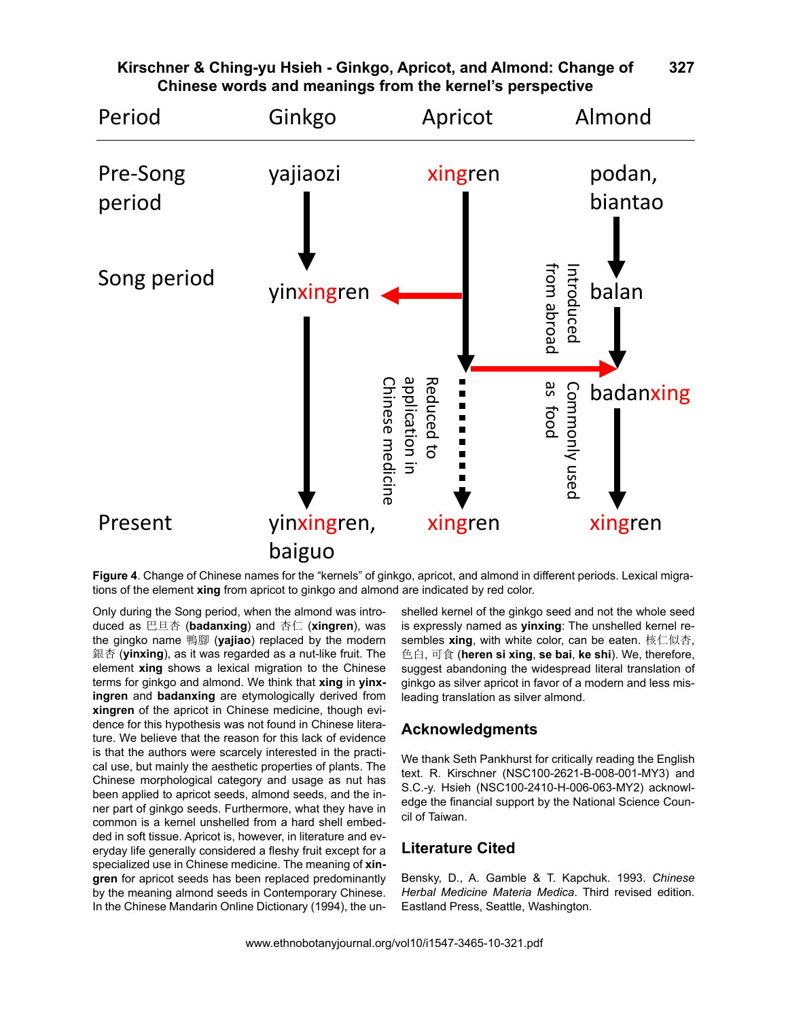

#### **Kirschner & Ching-yu Hsieh - Ginkgo, Apricot, and Almond: Change of Chinese words and meanings from the kernel's perspective 327**

**Figure 4**. Change of Chinese names for the "kernels" of ginkgo, apricot, and almond in different periods. Lexical migra-

Only during the Song period, when the almond was introduced as 巴旦杏 (**badanxing**) and 杏仁 (**xingren**), was the gingko name 鴨腳 (**yajiao**) replaced by the modern 銀杏 (yinxing), as it was regarded as a nut-like fruit. The element **xing** shows a lexical migration to the Chinese terms for ginkgo and almond. We think that **xing** in **yinxingren** and **badanxing** are etymologically derived from **xingren** of the apricot in Chinese medicine, though evidence for this hypothesis was not found in Chinese literature. We believe that the reason for this lack of evidence is that the authors were scarcely interested in the practical use, but mainly the aesthetic properties of plants. The Chinese morphological category and usage as nut has been applied to apricot seeds, almond seeds, and the inner part of ginkgo seeds. Furthermore, what they have in common is a kernel unshelled from a hard shell embedded in soft tissue. Apricot is, however, in literature and everyday life generally considered a fleshy fruit except for a specialized use in Chinese medicine. The meaning of **xingren** for apricot seeds has been replaced predominantly by the meaning almond seeds in Contemporary Chinese. In the Chinese Mandarin Online Dictionary (1994), the un-

shelled kernel of the ginkgo seed and not the whole seed is expressly named as **yinxing**: The unshelled kernel resembles **xing**, with white color, can be eaten. 核仁似杏, 色白, 可食 (**heren si xing**, **se bai**, **ke shi**). We, therefore, suggest abandoning the widespread literal translation of ginkgo as silver apricot in favor of a modern and less misleading translation as silver almond.

## **Acknowledgments**

We thank Seth Pankhurst for critically reading the English text. R. Kirschner (NSC100-2621-B-008-001-MY3) and S.C.-y. Hsieh (NSC100-2410-H-006-063-MY2) acknowledge the financial support by the National Science Council of Taiwan.

## **Literature Cited**

Bensky, D., A. Gamble & T. Kapchuk. 1993. *Chinese Herbal Medicine Materia Medica*. Third revised edition. Eastland Press, Seattle, Washington.